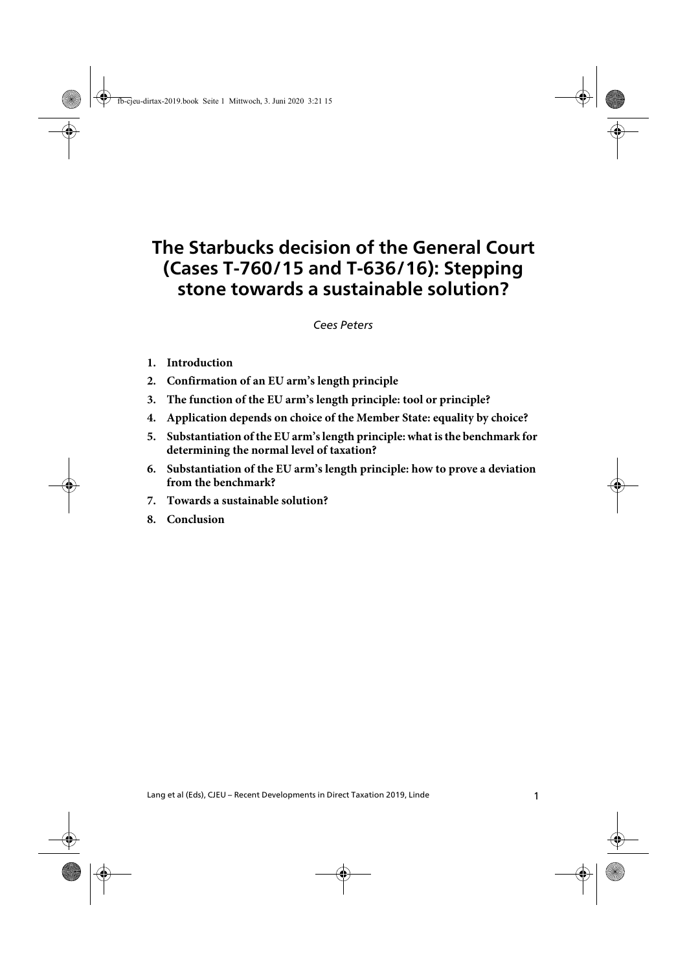# **The Starbucks decision of the General Court (Cases T-760/15 and T-636/16): Stepping stone towards a sustainable solution?**

The Starbucks decision of the General Court (Cases T-760/15 and T-636/16) Peters *Cees Peters*

- **1. Introduction**
- **2. Confirmation of an EU arm's length principle**
- **3. The function of the EU arm's length principle: tool or principle?**
- **4. Application depends on choice of the Member State: equality by choice?**
- **5. Substantiation of the EU arm's length principle: what is the benchmark for determining the normal level of taxation?**
- **6. Substantiation of the EU arm's length principle: how to prove a deviation from the benchmark?**
- **7. Towards a sustainable solution?**
- **8. Conclusion**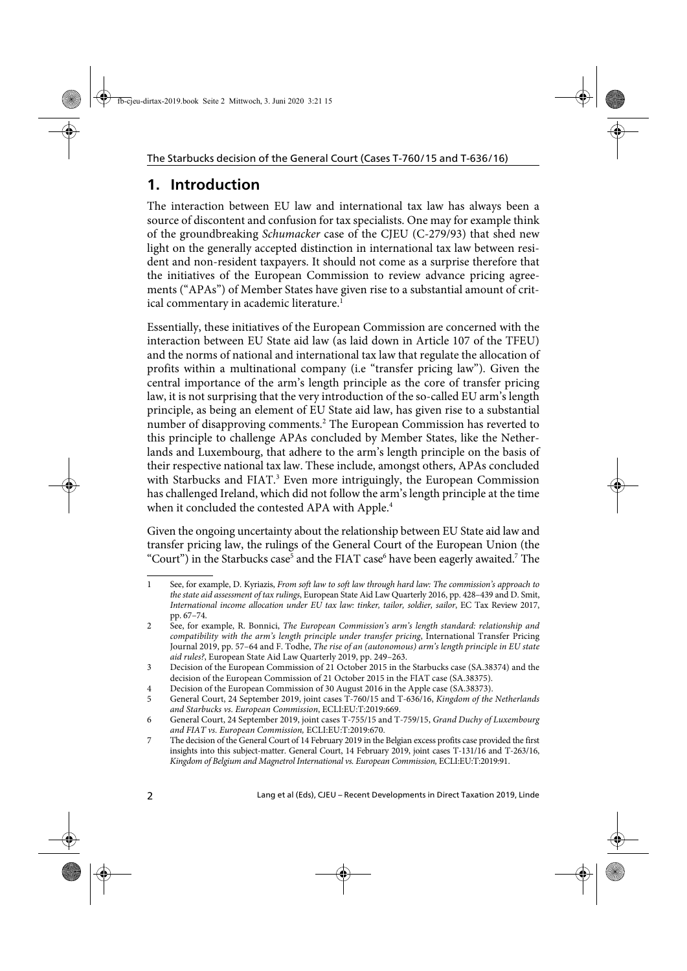## **1. Introduction**

The interaction between EU law and international tax law has always been a source of discontent and confusion for tax specialists. One may for example think of the groundbreaking Schumacker case of the CJEU (C-279/93) that shed new light on the generally accepted distinction in international tax law between resident and non-resident taxpayers. It should not come as a surprise therefore that the initiatives of the European Commission to review advance pricing agreements ("APAs") of Member States have given rise to a substantial amount of critical commentary in academic literature.<sup>1</sup>

Essentially, these initiatives of the European Commission are concerned with the interaction between EU State aid law (as laid down in Article 107 of the TFEU) and the norms of national and international tax law that regulate the allocation of profits within a multinational company (i.e "transfer pricing law"). Given the central importance of the arm's length principle as the core of transfer pricing law, it is not surprising that the very introduction of the so-called EU arm's length principle, as being an element of EU State aid law, has given rise to a substantial number of disapproving comments.<sup>2</sup> The European Commission has reverted to this principle to challenge APAs concluded by Member States, like the Netherlands and Luxembourg, that adhere to the arm's length principle on the basis of their respective national tax law. These include, amongst others, APAs concluded with Starbucks and FIAT.<sup>3</sup> Even more intriguingly, the European Commission has challenged Ireland, which did not follow the arm's length principle at the time when it concluded the contested APA with Apple.<sup>4</sup>

Given the ongoing uncertainty about the relationship between EU State aid law and transfer pricing law, the rulings of the General Court of the European Union (the "Court") in the Starbucks case<sup>5</sup> and the FIAT case<sup>6</sup> have been eagerly awaited.<sup>7</sup> The

<sup>1</sup> See, for example, D. Kyriazis, From soft law to soft law through hard law: The commission's approach to the state aid assessment of tax rulings, European State Aid Law Quarterly 2016, pp. 428–439 and D. Smit, International income allocation under EU tax law: tinker, tailor, soldier, sailor, EC Tax Review 2017, pp. 67–74.

<sup>2</sup> See, for example, R. Bonnici, The European Commission's arm's length standard: relationship and compatibility with the arm's length principle under transfer pricing, International Transfer Pricing Journal 2019, pp. 57–64 and F. Todhe, The rise of an (autonomous) arm's length principle in EU state aid rules?, European State Aid Law Quarterly 2019, pp. 249–263.

<sup>3</sup> Decision of the European Commission of 21 October 2015 in the Starbucks case (SA.38374) and the decision of the European Commission of 21 October 2015 in the FIAT case (SA.38375).

<sup>4</sup> Decision of the European Commission of 30 August 2016 in the Apple case (SA.38373).

<sup>5</sup> General Court, 24 September 2019, joint cases T-760/15 and T-636/16, Kingdom of the Netherlands and Starbucks vs. European Commission, ECLI:EU:T:2019:669.

<sup>6</sup> General Court, 24 September 2019, joint cases T-755/15 and T-759/15, Grand Duchy of Luxembourg and FIAT vs. European Commission, ECLI:EU:T:2019:670.

<sup>7</sup> The decision of the General Court of 14 February 2019 in the Belgian excess profits case provided the first insights into this subject-matter. General Court, 14 February 2019, joint cases T-131/16 and T-263/16, Kingdom of Belgium and Magnetrol International vs. European Commission, ECLI:EU:T:2019:91.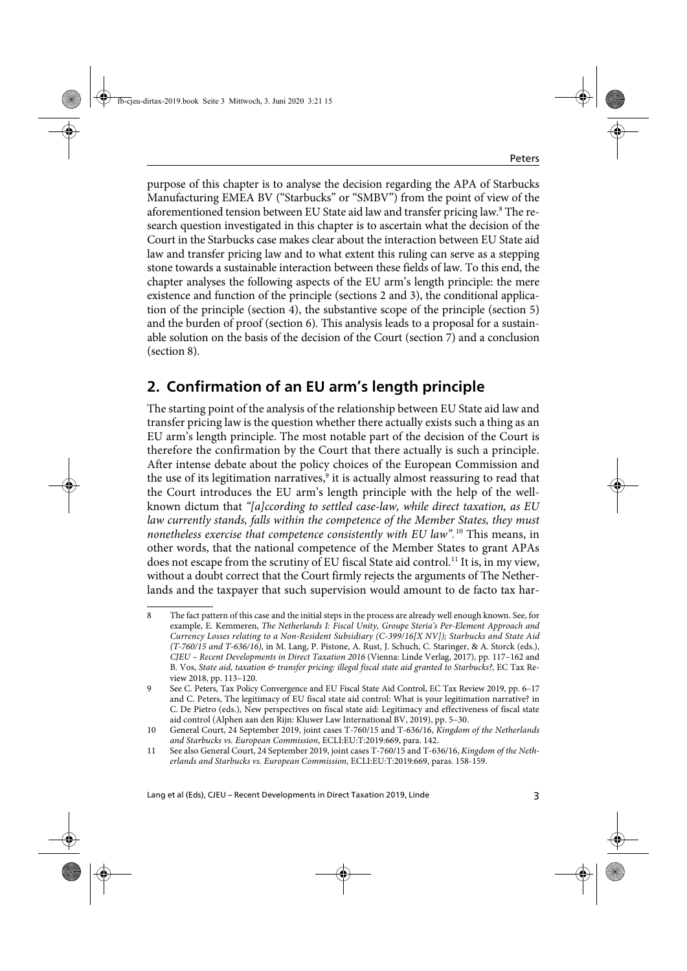purpose of this chapter is to analyse the decision regarding the APA of Starbucks Manufacturing EMEA BV ("Starbucks" or "SMBV") from the point of view of the aforementioned tension between EU State aid law and transfer pricing law.<sup>8</sup> The research question investigated in this chapter is to ascertain what the decision of the Court in the Starbucks case makes clear about the interaction between EU State aid law and transfer pricing law and to what extent this ruling can serve as a stepping stone towards a sustainable interaction between these fields of law. To this end, the chapter analyses the following aspects of the EU arm's length principle: the mere existence and function of the principle (sections 2 and 3), the conditional application of the principle (section 4), the substantive scope of the principle (section 5) and the burden of proof (section 6). This analysis leads to a proposal for a sustainable solution on the basis of the decision of the Court (section 7) and a conclusion (section 8).

## **2. Confirmation of an EU arm's length principle**

The starting point of the analysis of the relationship between EU State aid law and transfer pricing law is the question whether there actually exists such a thing as an EU arm's length principle. The most notable part of the decision of the Court is therefore the confirmation by the Court that there actually is such a principle. After intense debate about the policy choices of the European Commission and the use of its legitimation narratives,<sup>9</sup> it is actually almost reassuring to read that the Court introduces the EU arm's length principle with the help of the wellknown dictum that "[a]ccording to settled case-law, while direct taxation, as EU law currently stands, falls within the competence of the Member States, they must nonetheless exercise that competence consistently with EU law".<sup>10</sup> This means, in other words, that the national competence of the Member States to grant APAs does not escape from the scrutiny of EU fiscal State aid control.<sup>11</sup> It is, in my view, without a doubt correct that the Court firmly rejects the arguments of The Netherlands and the taxpayer that such supervision would amount to de facto tax har-

<sup>8</sup> The fact pattern of this case and the initial steps in the process are already well enough known. See, for example, E. Kemmeren, The Netherlands I: Fiscal Unity, Groupe Steria's Per-Element Approach and Currency Losses relating to a Non-Resident Subsidiary (C-399/16[X NV]); Starbucks and State Aid (T-760/15 and T-636/16), in M. Lang, P. Pistone, A. Rust, J. Schuch, C. Staringer, & A. Storck (eds.), CJEU – Recent Developments in Direct Taxation 2016 (Vienna: Linde Verlag, 2017), pp. 117–162 and B. Vos, State aid, taxation & transfer pricing: illegal fiscal state aid granted to Starbucks?, EC Tax Review 2018, pp. 113–120.

<sup>9</sup> See C. Peters, Tax Policy Convergence and EU Fiscal State Aid Control, EC Tax Review 2019, pp. 6–17 and C. Peters, The legitimacy of EU fiscal state aid control: What is your legitimation narrative? in C. De Pietro (eds.), New perspectives on fiscal state aid: Legitimacy and effectiveness of fiscal state aid control (Alphen aan den Rijn: Kluwer Law International BV, 2019), pp. 5–30.

<sup>10</sup> General Court, 24 September 2019, joint cases T-760/15 and T-636/16, Kingdom of the Netherlands and Starbucks vs. European Commission, ECLI:EU:T:2019:669, para. 142.

<sup>11</sup> See also General Court, 24 September 2019, joint cases T-760/15 and T-636/16, Kingdom of the Netherlands and Starbucks vs. European Commission, ECLI:EU:T:2019:669, paras. 158-159.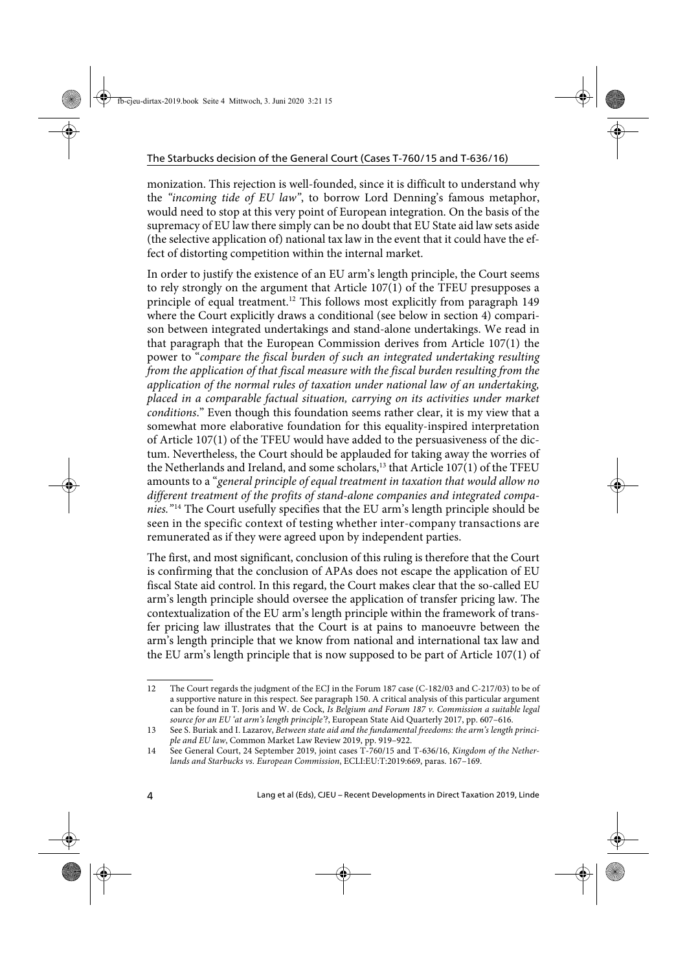monization. This rejection is well-founded, since it is difficult to understand why the "incoming tide of EU law", to borrow Lord Denning's famous metaphor, would need to stop at this very point of European integration. On the basis of the supremacy of EU law there simply can be no doubt that EU State aid law sets aside (the selective application of) national tax law in the event that it could have the effect of distorting competition within the internal market.

In order to justify the existence of an EU arm's length principle, the Court seems to rely strongly on the argument that Article  $107(1)$  of the TFEU presupposes a principle of equal treatment.12 This follows most explicitly from paragraph 149 where the Court explicitly draws a conditional (see below in section 4) comparison between integrated undertakings and stand-alone undertakings. We read in that paragraph that the European Commission derives from Article 107(1) the power to "compare the fiscal burden of such an integrated undertaking resulting from the application of that fiscal measure with the fiscal burden resulting from the application of the normal rules of taxation under national law of an undertaking, placed in a comparable factual situation, carrying on its activities under market conditions." Even though this foundation seems rather clear, it is my view that a somewhat more elaborative foundation for this equality-inspired interpretation of Article 107(1) of the TFEU would have added to the persuasiveness of the dictum. Nevertheless, the Court should be applauded for taking away the worries of the Netherlands and Ireland, and some scholars, $13$  that Article 107(1) of the TFEU amounts to a "general principle of equal treatment in taxation that would allow no different treatment of the profits of stand-alone companies and integrated companies."<sup>14</sup> The Court usefully specifies that the EU arm's length principle should be seen in the specific context of testing whether inter-company transactions are remunerated as if they were agreed upon by independent parties.

The first, and most significant, conclusion of this ruling is therefore that the Court is confirming that the conclusion of APAs does not escape the application of EU fiscal State aid control. In this regard, the Court makes clear that the so-called EU arm's length principle should oversee the application of transfer pricing law. The contextualization of the EU arm's length principle within the framework of transfer pricing law illustrates that the Court is at pains to manoeuvre between the arm's length principle that we know from national and international tax law and the EU arm's length principle that is now supposed to be part of Article 107(1) of

<sup>12</sup> The Court regards the judgment of the ECJ in the Forum 187 case (C-182/03 and C-217/03) to be of a supportive nature in this respect. See paragraph 150. A critical analysis of this particular argument can be found in T. Joris and W. de Cock, Is Belgium and Forum 187 v. Commission a suitable legal source for an EU 'at arm's length principle'?, European State Aid Quarterly 2017, pp. 607–616.

<sup>13</sup> See S. Buriak and I. Lazarov, Between state aid and the fundamental freedoms: the arm's length principle and EU law, Common Market Law Review 2019, pp. 919–922.

<sup>14</sup> See General Court, 24 September 2019, joint cases T-760/15 and T-636/16, Kingdom of the Netherlands and Starbucks vs. European Commission, ECLI:EU:T:2019:669, paras. 167–169.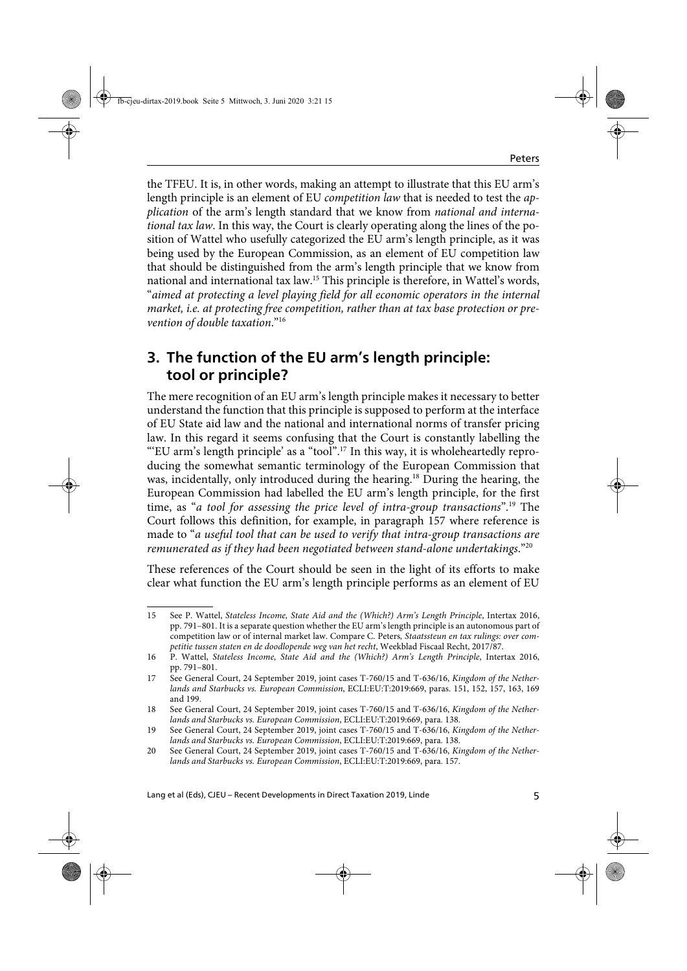the TFEU. It is, in other words, making an attempt to illustrate that this EU arm's length principle is an element of EU *competition law* that is needed to test the *ap*plication of the arm's length standard that we know from national and international tax law. In this way, the Court is clearly operating along the lines of the position of Wattel who usefully categorized the EU arm's length principle, as it was being used by the European Commission, as an element of EU competition law that should be distinguished from the arm's length principle that we know from national and international tax law.15 This principle is therefore, in Wattel's words, "aimed at protecting a level playing field for all economic operators in the internal market, i.e. at protecting free competition, rather than at tax base protection or prevention of double taxation."16

### **3. The function of the EU arm's length principle: tool or principle?**

The mere recognition of an EU arm's length principle makes it necessary to better understand the function that this principle is supposed to perform at the interface of EU State aid law and the national and international norms of transfer pricing law. In this regard it seems confusing that the Court is constantly labelling the "EU arm's length principle' as a "tool".<sup>17</sup> In this way, it is wholeheartedly reproducing the somewhat semantic terminology of the European Commission that was, incidentally, only introduced during the hearing.<sup>18</sup> During the hearing, the European Commission had labelled the EU arm's length principle, for the first time, as "a tool for assessing the price level of intra-group transactions".<sup>19</sup> The Court follows this definition, for example, in paragraph 157 where reference is made to "a useful tool that can be used to verify that intra-group transactions are remunerated as if they had been negotiated between stand-alone undertakings." $^{20}$ 

These references of the Court should be seen in the light of its efforts to make clear what function the EU arm's length principle performs as an element of EU

<sup>15</sup> See P. Wattel, Stateless Income, State Aid and the (Which?) Arm's Length Principle, Intertax 2016, pp. 791–801. It is a separate question whether the EU arm's length principle is an autonomous part of competition law or of internal market law. Compare C. Peters, Staatssteun en tax rulings: over competitie tussen staten en de doodlopende weg van het recht, Weekblad Fiscaal Recht, 2017/87.

<sup>16</sup> P. Wattel, Stateless Income, State Aid and the (Which?) Arm's Length Principle, Intertax 2016, pp. 791–801.

<sup>17</sup> See General Court, 24 September 2019, joint cases T-760/15 and T-636/16, Kingdom of the Netherlands and Starbucks vs. European Commission, ECLI:EU:T:2019:669, paras. 151, 152, 157, 163, 169 and 199.

<sup>18</sup> See General Court, 24 September 2019, joint cases T-760/15 and T-636/16, Kingdom of the Netherlands and Starbucks vs. European Commission, ECLI:EU:T:2019:669, para. 138.

<sup>19</sup> See General Court, 24 September 2019, joint cases T-760/15 and T-636/16, Kingdom of the Netherlands and Starbucks vs. European Commission, ECLI:EU:T:2019:669, para. 138.

<sup>20</sup> See General Court, 24 September 2019, joint cases T-760/15 and T-636/16, Kingdom of the Netherlands and Starbucks vs. European Commission, ECLI:EU:T:2019:669, para. 157.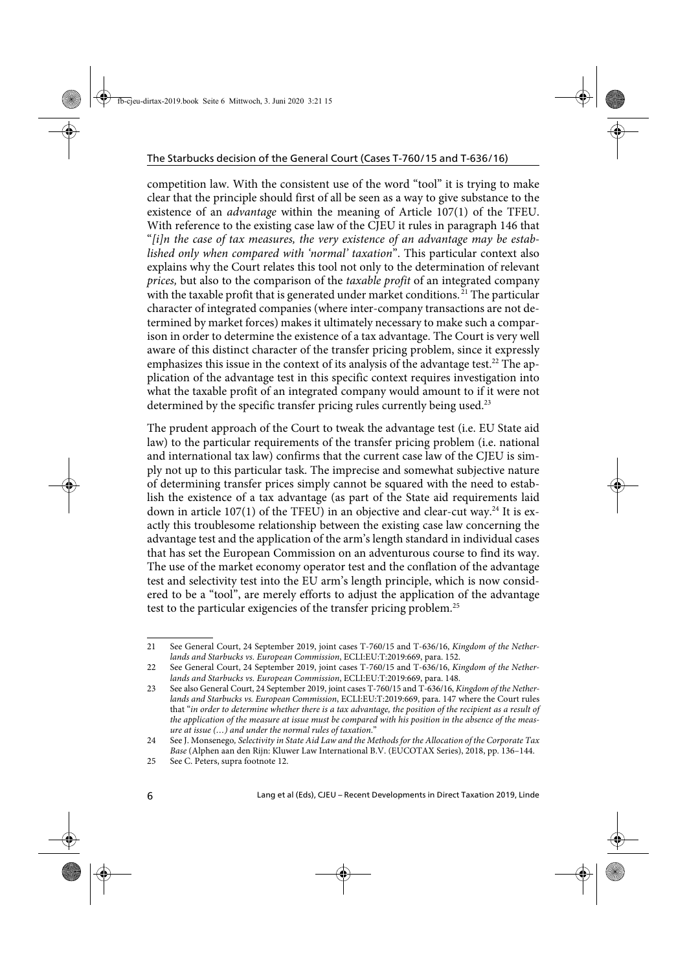competition law. With the consistent use of the word "tool" it is trying to make clear that the principle should first of all be seen as a way to give substance to the existence of an advantage within the meaning of Article 107(1) of the TFEU. With reference to the existing case law of the CJEU it rules in paragraph 146 that "[i]n the case of tax measures, the very existence of an advantage may be established only when compared with 'normal' taxation". This particular context also explains why the Court relates this tool not only to the determination of relevant prices, but also to the comparison of the taxable profit of an integrated company with the taxable profit that is generated under market conditions.<sup>21</sup> The particular character of integrated companies (where inter-company transactions are not determined by market forces) makes it ultimately necessary to make such a comparison in order to determine the existence of a tax advantage. The Court is very well aware of this distinct character of the transfer pricing problem, since it expressly emphasizes this issue in the context of its analysis of the advantage test.<sup>22</sup> The application of the advantage test in this specific context requires investigation into what the taxable profit of an integrated company would amount to if it were not determined by the specific transfer pricing rules currently being used.<sup>23</sup>

The prudent approach of the Court to tweak the advantage test (i.e. EU State aid law) to the particular requirements of the transfer pricing problem (i.e. national and international tax law) confirms that the current case law of the CJEU is simply not up to this particular task. The imprecise and somewhat subjective nature of determining transfer prices simply cannot be squared with the need to establish the existence of a tax advantage (as part of the State aid requirements laid down in article 107(1) of the TFEU) in an objective and clear-cut way.<sup>24</sup> It is exactly this troublesome relationship between the existing case law concerning the advantage test and the application of the arm's length standard in individual cases that has set the European Commission on an adventurous course to find its way. The use of the market economy operator test and the conflation of the advantage test and selectivity test into the EU arm's length principle, which is now considered to be a "tool", are merely efforts to adjust the application of the advantage test to the particular exigencies of the transfer pricing problem.<sup>25</sup>

<sup>21</sup> See General Court, 24 September 2019, joint cases T-760/15 and T-636/16, Kingdom of the Netherlands and Starbucks vs. European Commission, ECLI:EU:T:2019:669, para. 152.

<sup>22</sup> See General Court, 24 September 2019, joint cases T-760/15 and T-636/16, Kingdom of the Netherlands and Starbucks vs. European Commission, ECLI:EU:T:2019:669, para. 148.

<sup>23</sup> See also General Court, 24 September 2019, joint cases T-760/15 and T-636/16, Kingdom of the Netherlands and Starbucks vs. European Commission, ECLI:EU:T:2019:669, para. 147 where the Court rules that "in order to determine whether there is a tax advantage, the position of the recipient as a result of the application of the measure at issue must be compared with his position in the absence of the measure at issue (…) and under the normal rules of taxation."

<sup>24</sup> See J. Monsenego, Selectivity in State Aid Law and the Methods for the Allocation of the Corporate Tax Base (Alphen aan den Rijn: Kluwer Law International B.V. (EUCOTAX Series), 2018, pp. 136–144.

<sup>25</sup> See C. Peters, supra footnote 12.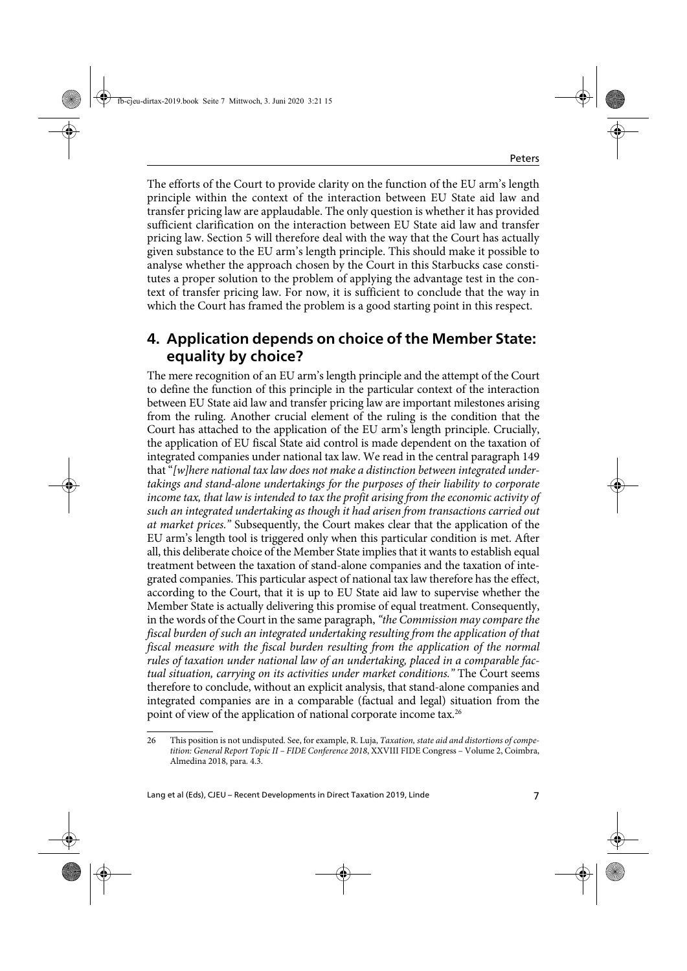The efforts of the Court to provide clarity on the function of the EU arm's length principle within the context of the interaction between EU State aid law and transfer pricing law are applaudable. The only question is whether it has provided sufficient clarification on the interaction between EU State aid law and transfer pricing law. Section 5 will therefore deal with the way that the Court has actually given substance to the EU arm's length principle. This should make it possible to analyse whether the approach chosen by the Court in this Starbucks case constitutes a proper solution to the problem of applying the advantage test in the context of transfer pricing law. For now, it is sufficient to conclude that the way in which the Court has framed the problem is a good starting point in this respect.

#### **4. Application depends on choice of the Member State: equality by choice?**

The mere recognition of an EU arm's length principle and the attempt of the Court to define the function of this principle in the particular context of the interaction between EU State aid law and transfer pricing law are important milestones arising from the ruling. Another crucial element of the ruling is the condition that the Court has attached to the application of the EU arm's length principle. Crucially, the application of EU fiscal State aid control is made dependent on the taxation of integrated companies under national tax law. We read in the central paragraph 149 that " $[w]$ here national tax law does not make a distinction between integrated undertakings and stand-alone undertakings for the purposes of their liability to corporate income tax, that law is intended to tax the profit arising from the economic activity of such an integrated undertaking as though it had arisen from transactions carried out at market prices." Subsequently, the Court makes clear that the application of the EU arm's length tool is triggered only when this particular condition is met. After all, this deliberate choice of the Member State implies that it wants to establish equal treatment between the taxation of stand-alone companies and the taxation of integrated companies. This particular aspect of national tax law therefore has the effect, according to the Court, that it is up to EU State aid law to supervise whether the Member State is actually delivering this promise of equal treatment. Consequently, in the words of the Court in the same paragraph, "the Commission may compare the fiscal burden of such an integrated undertaking resulting from the application of that fiscal measure with the fiscal burden resulting from the application of the normal rules of taxation under national law of an undertaking, placed in a comparable factual situation, carrying on its activities under market conditions." The Court seems therefore to conclude, without an explicit analysis, that stand-alone companies and integrated companies are in a comparable (factual and legal) situation from the point of view of the application of national corporate income tax.<sup>26</sup>

<sup>26</sup> This position is not undisputed. See, for example, R. Luja, Taxation, state aid and distortions of competition: General Report Topic II – FIDE Conference 2018, XXVIII FIDE Congress – Volume 2, Coimbra, Almedina 2018, para. 4.3.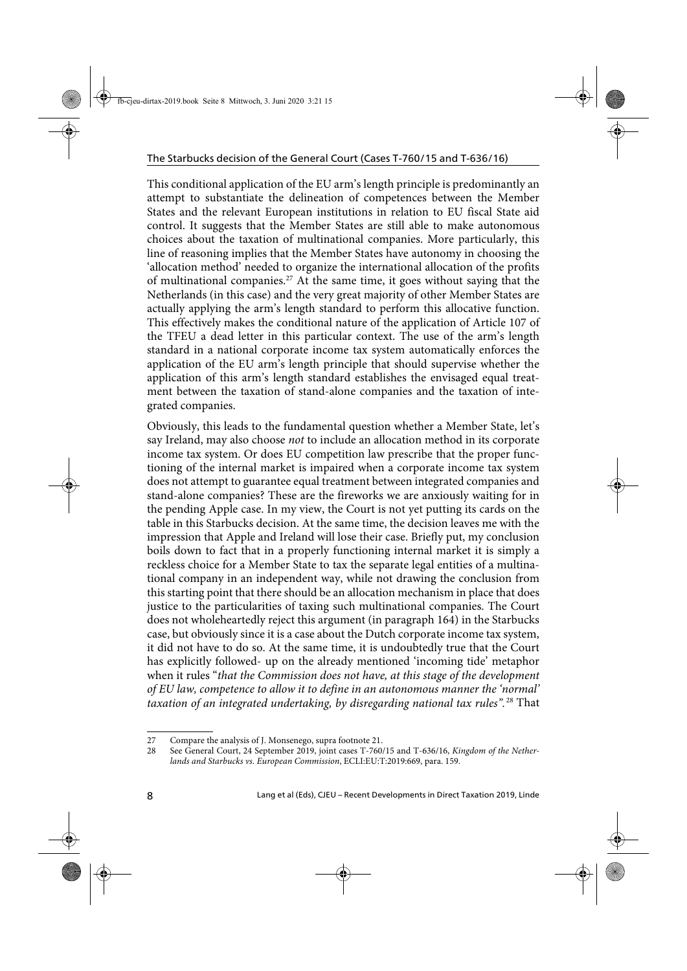This conditional application of the EU arm's length principle is predominantly an attempt to substantiate the delineation of competences between the Member States and the relevant European institutions in relation to EU fiscal State aid control. It suggests that the Member States are still able to make autonomous choices about the taxation of multinational companies. More particularly, this line of reasoning implies that the Member States have autonomy in choosing the 'allocation method' needed to organize the international allocation of the profits of multinational companies.<sup>27</sup> At the same time, it goes without saying that the Netherlands (in this case) and the very great majority of other Member States are actually applying the arm's length standard to perform this allocative function. This effectively makes the conditional nature of the application of Article 107 of the TFEU a dead letter in this particular context. The use of the arm's length standard in a national corporate income tax system automatically enforces the application of the EU arm's length principle that should supervise whether the application of this arm's length standard establishes the envisaged equal treatment between the taxation of stand-alone companies and the taxation of integrated companies.

Obviously, this leads to the fundamental question whether a Member State, let's say Ireland, may also choose not to include an allocation method in its corporate income tax system. Or does EU competition law prescribe that the proper functioning of the internal market is impaired when a corporate income tax system does not attempt to guarantee equal treatment between integrated companies and stand-alone companies? These are the fireworks we are anxiously waiting for in the pending Apple case. In my view, the Court is not yet putting its cards on the table in this Starbucks decision. At the same time, the decision leaves me with the impression that Apple and Ireland will lose their case. Briefly put, my conclusion boils down to fact that in a properly functioning internal market it is simply a reckless choice for a Member State to tax the separate legal entities of a multinational company in an independent way, while not drawing the conclusion from this starting point that there should be an allocation mechanism in place that does justice to the particularities of taxing such multinational companies. The Court does not wholeheartedly reject this argument (in paragraph 164) in the Starbucks case, but obviously since it is a case about the Dutch corporate income tax system, it did not have to do so. At the same time, it is undoubtedly true that the Court has explicitly followed- up on the already mentioned 'incoming tide' metaphor when it rules "that the Commission does not have, at this stage of the development of EU law, competence to allow it to define in an autonomous manner the 'normal' taxation of an integrated undertaking, by disregarding national tax rules".<sup>28</sup> That

<sup>27</sup> Compare the analysis of J. Monsenego, supra footnote 21.

<sup>28</sup> See General Court, 24 September 2019, joint cases T-760/15 and T-636/16, Kingdom of the Netherlands and Starbucks vs. European Commission, ECLI:EU:T:2019:669, para. 159.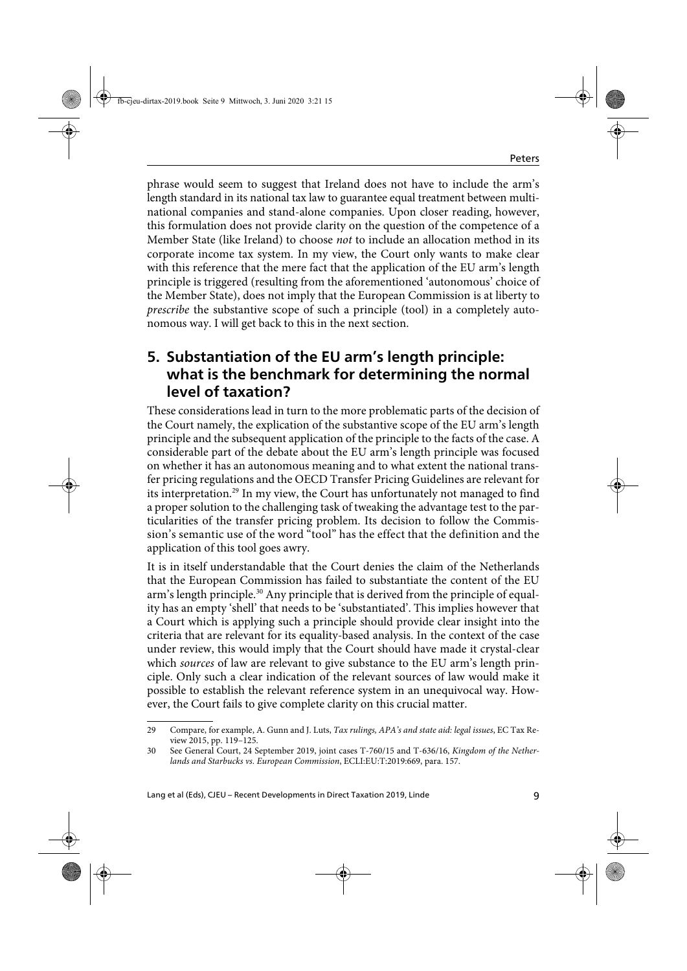phrase would seem to suggest that Ireland does not have to include the arm's length standard in its national tax law to guarantee equal treatment between multinational companies and stand-alone companies. Upon closer reading, however, this formulation does not provide clarity on the question of the competence of a Member State (like Ireland) to choose not to include an allocation method in its corporate income tax system. In my view, the Court only wants to make clear with this reference that the mere fact that the application of the EU arm's length principle is triggered (resulting from the aforementioned 'autonomous' choice of the Member State), does not imply that the European Commission is at liberty to prescribe the substantive scope of such a principle (tool) in a completely autonomous way. I will get back to this in the next section.

### **5. Substantiation of the EU arm's length principle: what is the benchmark for determining the normal level of taxation?**

These considerations lead in turn to the more problematic parts of the decision of the Court namely, the explication of the substantive scope of the EU arm's length principle and the subsequent application of the principle to the facts of the case. A considerable part of the debate about the EU arm's length principle was focused on whether it has an autonomous meaning and to what extent the national transfer pricing regulations and the OECD Transfer Pricing Guidelines are relevant for its interpretation.29 In my view, the Court has unfortunately not managed to find a proper solution to the challenging task of tweaking the advantage test to the particularities of the transfer pricing problem. Its decision to follow the Commission's semantic use of the word "tool" has the effect that the definition and the application of this tool goes awry.

It is in itself understandable that the Court denies the claim of the Netherlands that the European Commission has failed to substantiate the content of the EU arm's length principle.<sup>30</sup> Any principle that is derived from the principle of equality has an empty 'shell' that needs to be 'substantiated'. This implies however that a Court which is applying such a principle should provide clear insight into the criteria that are relevant for its equality-based analysis. In the context of the case under review, this would imply that the Court should have made it crystal-clear which *sources* of law are relevant to give substance to the EU arm's length principle. Only such a clear indication of the relevant sources of law would make it possible to establish the relevant reference system in an unequivocal way. However, the Court fails to give complete clarity on this crucial matter.

<sup>29</sup> Compare, for example, A. Gunn and J. Luts, Tax rulings, APA's and state aid: legal issues, EC Tax Review 2015, pp. 119–125.

<sup>30</sup> See General Court, 24 September 2019, joint cases T-760/15 and T-636/16, Kingdom of the Netherlands and Starbucks vs. European Commission, ECLI:EU:T:2019:669, para. 157.